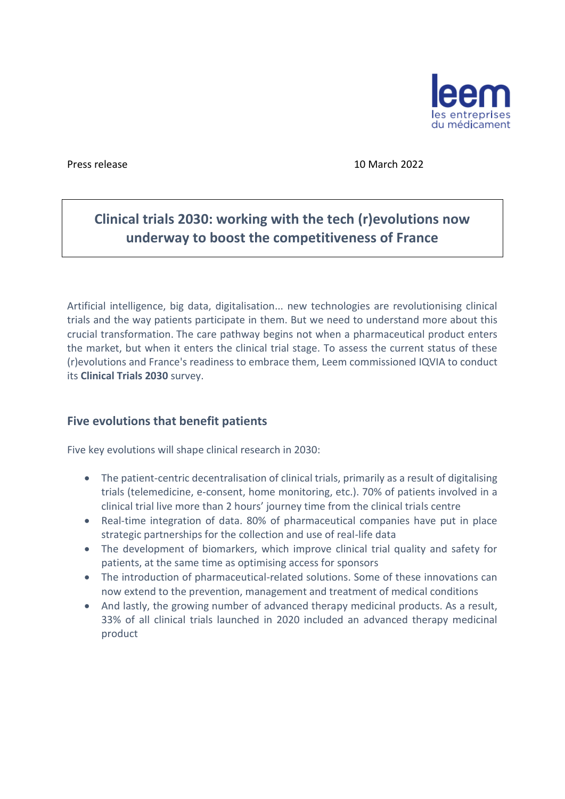

Press release 10 March 2022

## **Clinical trials 2030: working with the tech (r)evolutions now underway to boost the competitiveness of France**

Artificial intelligence, big data, digitalisation... new technologies are revolutionising clinical trials and the way patients participate in them. But we need to understand more about this crucial transformation. The care pathway begins not when a pharmaceutical product enters the market, but when it enters the clinical trial stage. To assess the current status of these (r)evolutions and France's readiness to embrace them, Leem commissioned IQVIA to conduct its **Clinical Trials 2030** survey.

## **Five evolutions that benefit patients**

Five key evolutions will shape clinical research in 2030:

- The patient-centric decentralisation of clinical trials, primarily as a result of digitalising trials (telemedicine, e-consent, home monitoring, etc.). 70% of patients involved in a clinical trial live more than 2 hours' journey time from the clinical trials centre
- Real-time integration of data. 80% of pharmaceutical companies have put in place strategic partnerships for the collection and use of real-life data
- The development of biomarkers, which improve clinical trial quality and safety for patients, at the same time as optimising access for sponsors
- The introduction of pharmaceutical-related solutions. Some of these innovations can now extend to the prevention, management and treatment of medical conditions
- And lastly, the growing number of advanced therapy medicinal products. As a result, 33% of all clinical trials launched in 2020 included an advanced therapy medicinal product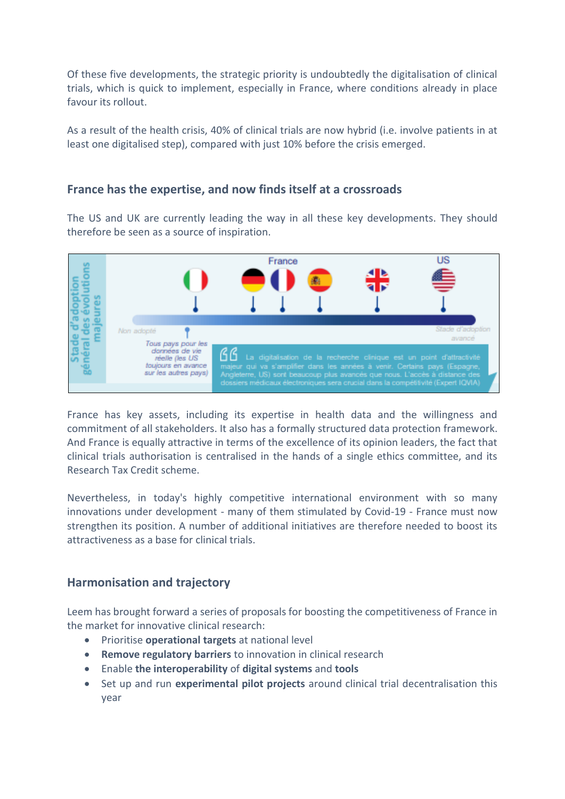Of these five developments, the strategic priority is undoubtedly the digitalisation of clinical trials, which is quick to implement, especially in France, where conditions already in place favour its rollout.

As a result of the health crisis, 40% of clinical trials are now hybrid (i.e. involve patients in at least one digitalised step), compared with just 10% before the crisis emerged.

## **France has the expertise, and now finds itself at a crossroads**

The US and UK are currently leading the way in all these key developments. They should therefore be seen as a source of inspiration.



France has key assets, including its expertise in health data and the willingness and commitment of all stakeholders. It also has a formally structured data protection framework. And France is equally attractive in terms of the excellence of its opinion leaders, the fact that clinical trials authorisation is centralised in the hands of a single ethics committee, and its Research Tax Credit scheme.

Nevertheless, in today's highly competitive international environment with so many innovations under development - many of them stimulated by Covid-19 - France must now strengthen its position. A number of additional initiatives are therefore needed to boost its attractiveness as a base for clinical trials.

## **Harmonisation and trajectory**

Leem has brought forward a series of proposals for boosting the competitiveness of France in the market for innovative clinical research:

- Prioritise **operational targets** at national level
- **Remove regulatory barriers** to innovation in clinical research
- Enable **the interoperability** of **digital systems** and **tools**
- Set up and run **experimental pilot projects** around clinical trial decentralisation this year